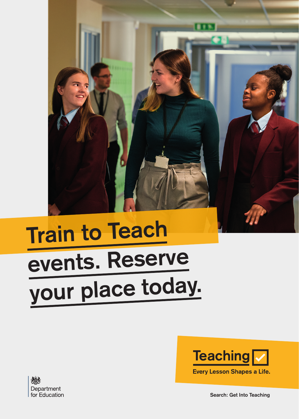

## **Train to Teach events. Reserve your place today.**





**Search: Get Into Teaching**